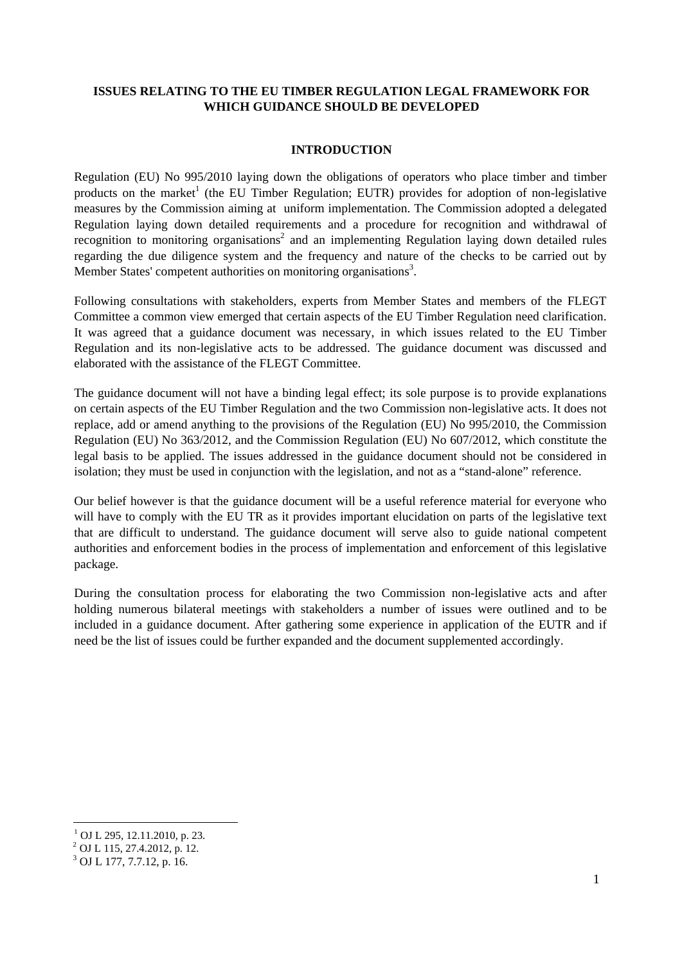### **ISSUES RELATING TO THE EU TIMBER REGULATION LEGAL FRAMEWORK FOR WHICH GUIDANCE SHOULD BE DEVELOPED**

#### **INTRODUCTION**

Regulation (EU) No 995/2010 laying down the obligations of operators who place timber and timber products on the market<sup>1</sup> (the EU Timber Regulation; EUTR) provides for adoption of non-legislative measures by the Commission aiming at uniform implementation. The Commission adopted a delegated Regulation laying down detailed requirements and a procedure for recognition and withdrawal of recognition to monitoring organisations<sup>2</sup> and an implementing Regulation laying down detailed rules regarding the due diligence system and the frequency and nature of the checks to be carried out by Member States' competent authorities on monitoring organisations<sup>3</sup>.

Following consultations with stakeholders, experts from Member States and members of the FLEGT Committee a common view emerged that certain aspects of the EU Timber Regulation need clarification. It was agreed that a guidance document was necessary, in which issues related to the EU Timber Regulation and its non-legislative acts to be addressed. The guidance document was discussed and elaborated with the assistance of the FLEGT Committee.

The guidance document will not have a binding legal effect; its sole purpose is to provide explanations on certain aspects of the EU Timber Regulation and the two Commission non-legislative acts. It does not replace, add or amend anything to the provisions of the Regulation (EU) No 995/2010, the Commission Regulation (EU) No 363/2012, and the Commission Regulation (EU) No 607/2012, which constitute the legal basis to be applied. The issues addressed in the guidance document should not be considered in isolation; they must be used in conjunction with the legislation, and not as a "stand-alone" reference.

Our belief however is that the guidance document will be a useful reference material for everyone who will have to comply with the EU TR as it provides important elucidation on parts of the legislative text that are difficult to understand. The guidance document will serve also to guide national competent authorities and enforcement bodies in the process of implementation and enforcement of this legislative package.

During the consultation process for elaborating the two Commission non-legislative acts and after holding numerous bilateral meetings with stakeholders a number of issues were outlined and to be included in a guidance document. After gathering some experience in application of the EUTR and if need be the list of issues could be further expanded and the document supplemented accordingly.

1

<sup>&</sup>lt;sup>1</sup> OJ L 295, 12.11.2010, p. 23.

 $^{2}$  OJ L 115, 27.4.2012, p. 12.

 $3$  OJ L 177, 7.7.12, p. 16.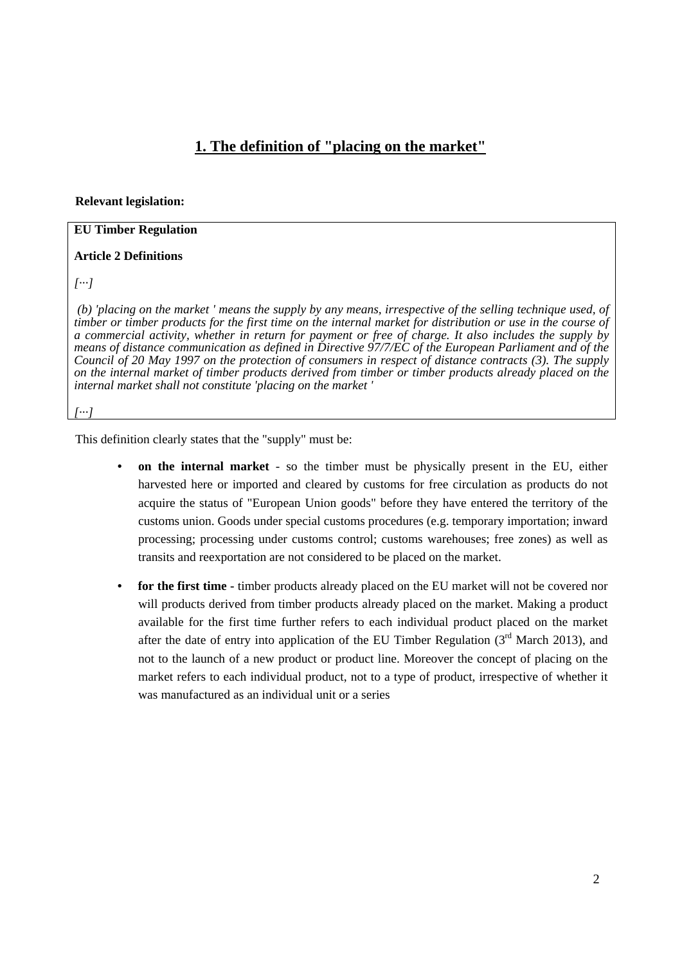# **1. The definition of "placing on the market"**

#### **Relevant legislation:**

#### **EU Timber Regulation**

#### **Article 2 Definitions**

*[···]* 

 *(b) 'placing on the market ' means the supply by any means, irrespective of the selling technique used, of timber or timber products for the first time on the internal market for distribution or use in the course of a commercial activity, whether in return for payment or free of charge. It also includes the supply by means of distance communication as defined in Directive 97/7/EC of the European Parliament and of the Council of 20 May 1997 on the protection of consumers in respect of distance contracts (3). The supply on the internal market of timber products derived from timber or timber products already placed on the internal market shall not constitute 'placing on the market '* 

*[···]* 

This definition clearly states that the "supply" must be:

- **• on the internal market** so the timber must be physically present in the EU, either harvested here or imported and cleared by customs for free circulation as products do not acquire the status of "European Union goods" before they have entered the territory of the customs union. Goods under special customs procedures (e.g. temporary importation; inward processing; processing under customs control; customs warehouses; free zones) as well as transits and reexportation are not considered to be placed on the market.
- **• for the first time -** timber products already placed on the EU market will not be covered nor will products derived from timber products already placed on the market. Making a product available for the first time further refers to each individual product placed on the market after the date of entry into application of the EU Timber Regulation  $(3<sup>rd</sup>$  March 2013), and not to the launch of a new product or product line. Moreover the concept of placing on the market refers to each individual product, not to a type of product, irrespective of whether it was manufactured as an individual unit or a series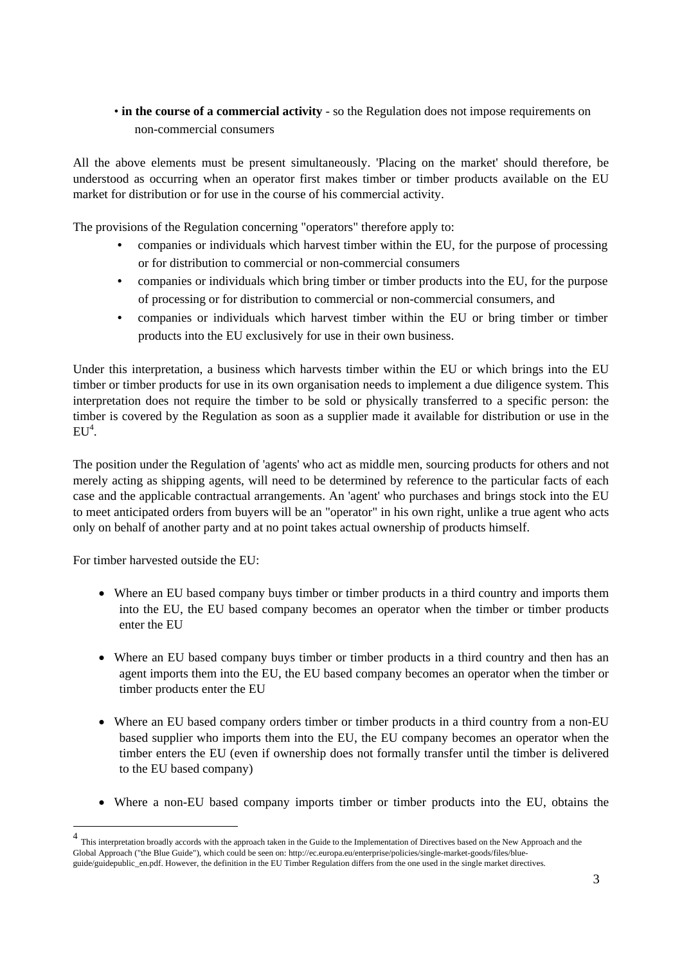# • in the course of a commercial activity - so the Regulation does not impose requirements on non-commercial consumers

All the above elements must be present simultaneously. 'Placing on the market' should therefore, be understood as occurring when an operator first makes timber or timber products available on the EU market for distribution or for use in the course of his commercial activity.

The provisions of the Regulation concerning "operators" therefore apply to:

- **•** companies or individuals which harvest timber within the EU, for the purpose of processing or for distribution to commercial or non-commercial consumers
- **•** companies or individuals which bring timber or timber products into the EU, for the purpose of processing or for distribution to commercial or non-commercial consumers, and
- **•** companies or individuals which harvest timber within the EU or bring timber or timber products into the EU exclusively for use in their own business.

Under this interpretation, a business which harvests timber within the EU or which brings into the EU timber or timber products for use in its own organisation needs to implement a due diligence system. This interpretation does not require the timber to be sold or physically transferred to a specific person: the timber is covered by the Regulation as soon as a supplier made it available for distribution or use in the  $EU^4$ .

The position under the Regulation of 'agents' who act as middle men, sourcing products for others and not merely acting as shipping agents, will need to be determined by reference to the particular facts of each case and the applicable contractual arrangements. An 'agent' who purchases and brings stock into the EU to meet anticipated orders from buyers will be an "operator" in his own right, unlike a true agent who acts only on behalf of another party and at no point takes actual ownership of products himself.

For timber harvested outside the EU:

1

- Where an EU based company buys timber or timber products in a third country and imports them into the EU, the EU based company becomes an operator when the timber or timber products enter the EU
- Where an EU based company buys timber or timber products in a third country and then has an agent imports them into the EU, the EU based company becomes an operator when the timber or timber products enter the EU
- Where an EU based company orders timber or timber products in a third country from a non-EU based supplier who imports them into the EU, the EU company becomes an operator when the timber enters the EU (even if ownership does not formally transfer until the timber is delivered to the EU based company)
- Where a non-EU based company imports timber or timber products into the EU, obtains the

<sup>4</sup> This interpretation broadly accords with the approach taken in the Guide to the Implementation of Directives based on the New Approach and the Global Approach ("the Blue Guide"), which could be seen on: http://ec.europa.eu/enterprise/policies/single-market-goods/files/blueguide/guidepublic\_en.pdf. However, the definition in the EU Timber Regulation differs from the one used in the single market directives.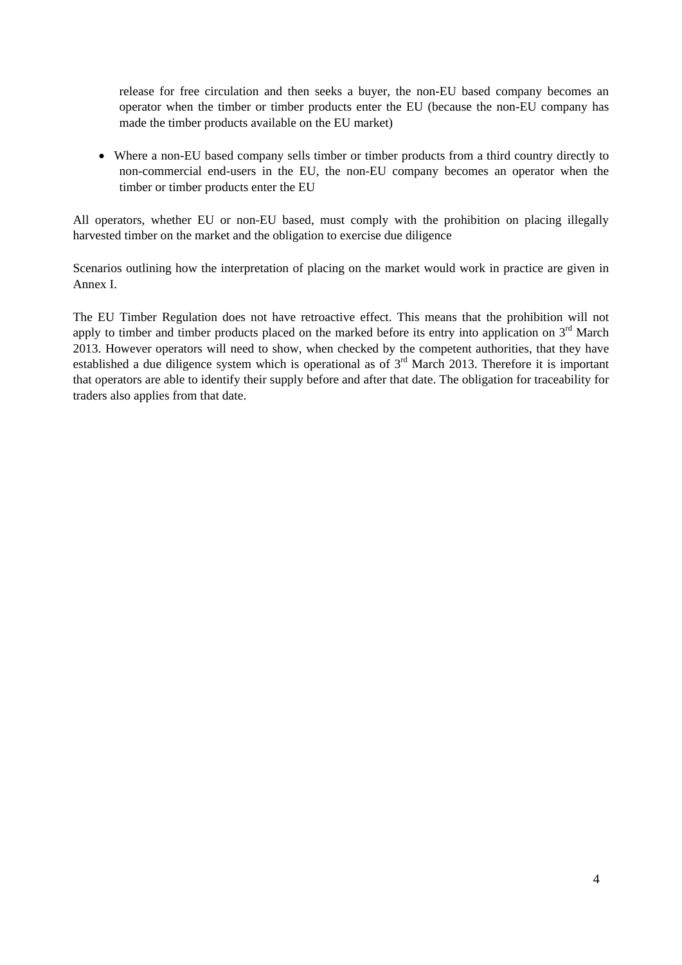release for free circulation and then seeks a buyer, the non-EU based company becomes an operator when the timber or timber products enter the EU (because the non-EU company has made the timber products available on the EU market)

 Where a non-EU based company sells timber or timber products from a third country directly to non-commercial end-users in the EU, the non-EU company becomes an operator when the timber or timber products enter the EU

All operators, whether EU or non-EU based, must comply with the prohibition on placing illegally harvested timber on the market and the obligation to exercise due diligence

Scenarios outlining how the interpretation of placing on the market would work in practice are given in Annex I.

The EU Timber Regulation does not have retroactive effect. This means that the prohibition will not apply to timber and timber products placed on the marked before its entry into application on  $3<sup>rd</sup>$  March 2013. However operators will need to show, when checked by the competent authorities, that they have established a due diligence system which is operational as of 3rd March 2013. Therefore it is important that operators are able to identify their supply before and after that date. The obligation for traceability for traders also applies from that date.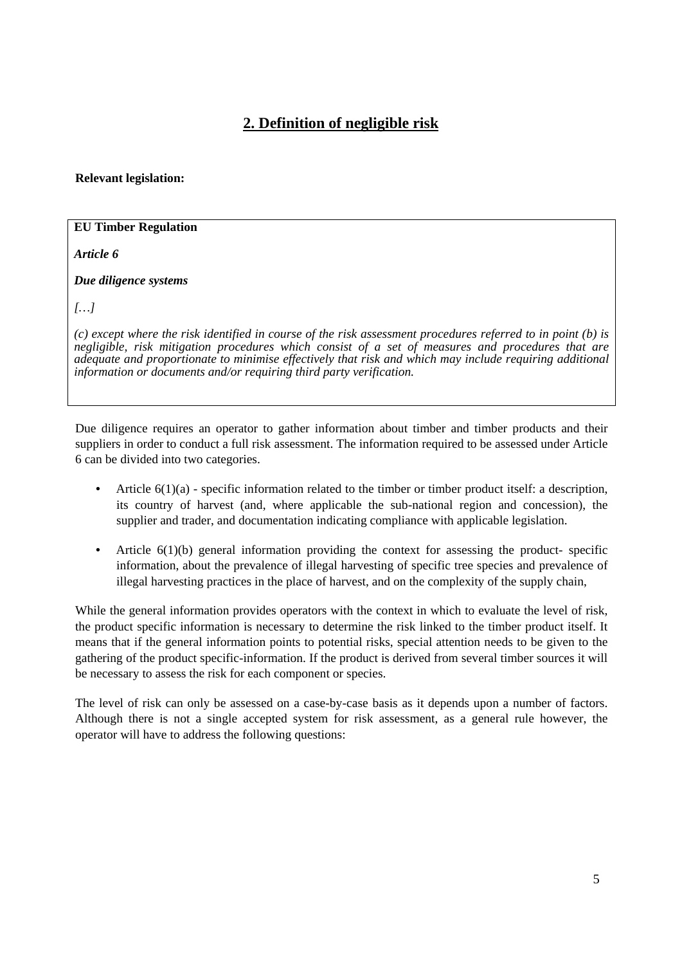# **2. Definition of negligible risk**

#### **Relevant legislation:**

### **EU Timber Regulation**

*Article 6*

*Due diligence systems* 

*[…]* 

*(c) except where the risk identified in course of the risk assessment procedures referred to in point (b) is negligible, risk mitigation procedures which consist of a set of measures and procedures that are adequate and proportionate to minimise effectively that risk and which may include requiring additional information or documents and/or requiring third party verification.* 

Due diligence requires an operator to gather information about timber and timber products and their suppliers in order to conduct a full risk assessment. The information required to be assessed under Article 6 can be divided into two categories.

- Article  $6(1)(a)$  specific information related to the timber or timber product itself: a description, its country of harvest (and, where applicable the sub-national region and concession), the supplier and trader, and documentation indicating compliance with applicable legislation.
- Article 6(1)(b) general information providing the context for assessing the product- specific information, about the prevalence of illegal harvesting of specific tree species and prevalence of illegal harvesting practices in the place of harvest, and on the complexity of the supply chain,

While the general information provides operators with the context in which to evaluate the level of risk, the product specific information is necessary to determine the risk linked to the timber product itself. It means that if the general information points to potential risks, special attention needs to be given to the gathering of the product specific-information. If the product is derived from several timber sources it will be necessary to assess the risk for each component or species.

The level of risk can only be assessed on a case-by-case basis as it depends upon a number of factors. Although there is not a single accepted system for risk assessment, as a general rule however, the operator will have to address the following questions: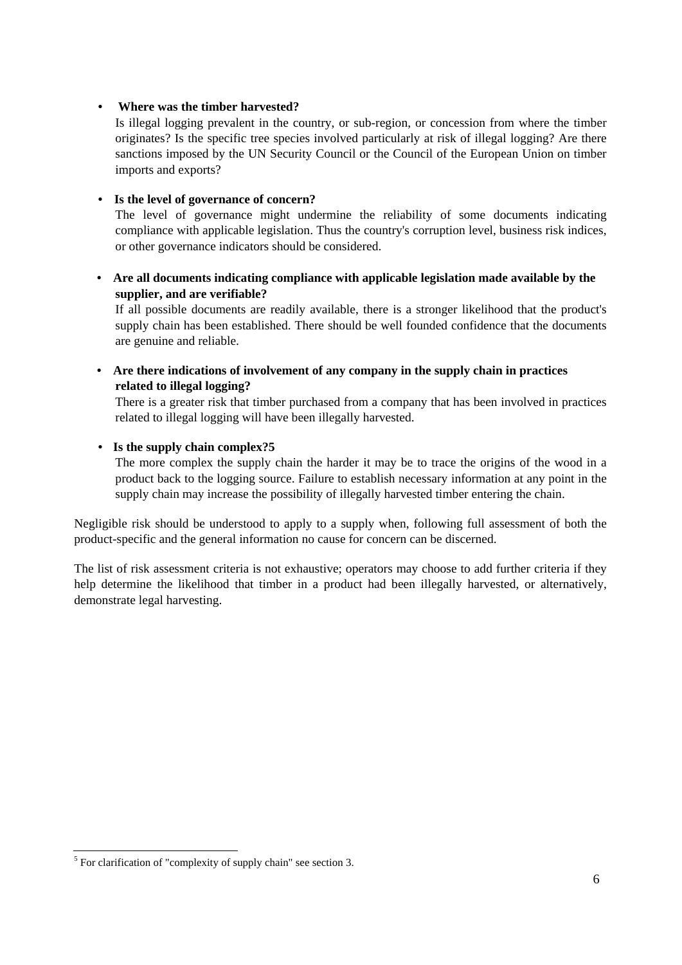### **• Where was the timber harvested?**

Is illegal logging prevalent in the country, or sub-region, or concession from where the timber originates? Is the specific tree species involved particularly at risk of illegal logging? Are there sanctions imposed by the UN Security Council or the Council of the European Union on timber imports and exports?

### **• Is the level of governance of concern?**

The level of governance might undermine the reliability of some documents indicating compliance with applicable legislation. Thus the country's corruption level, business risk indices, or other governance indicators should be considered.

**• Are all documents indicating compliance with applicable legislation made available by the supplier, and are verifiable?** 

If all possible documents are readily available, there is a stronger likelihood that the product's supply chain has been established. There should be well founded confidence that the documents are genuine and reliable.

**• Are there indications of involvement of any company in the supply chain in practices related to illegal logging?** 

There is a greater risk that timber purchased from a company that has been involved in practices related to illegal logging will have been illegally harvested.

### **• Is the supply chain complex?5**

The more complex the supply chain the harder it may be to trace the origins of the wood in a product back to the logging source. Failure to establish necessary information at any point in the supply chain may increase the possibility of illegally harvested timber entering the chain.

Negligible risk should be understood to apply to a supply when, following full assessment of both the product-specific and the general information no cause for concern can be discerned.

The list of risk assessment criteria is not exhaustive; operators may choose to add further criteria if they help determine the likelihood that timber in a product had been illegally harvested, or alternatively, demonstrate legal harvesting.

 $\overline{a}$ 

 $<sup>5</sup>$  For clarification of "complexity of supply chain" see section 3.</sup>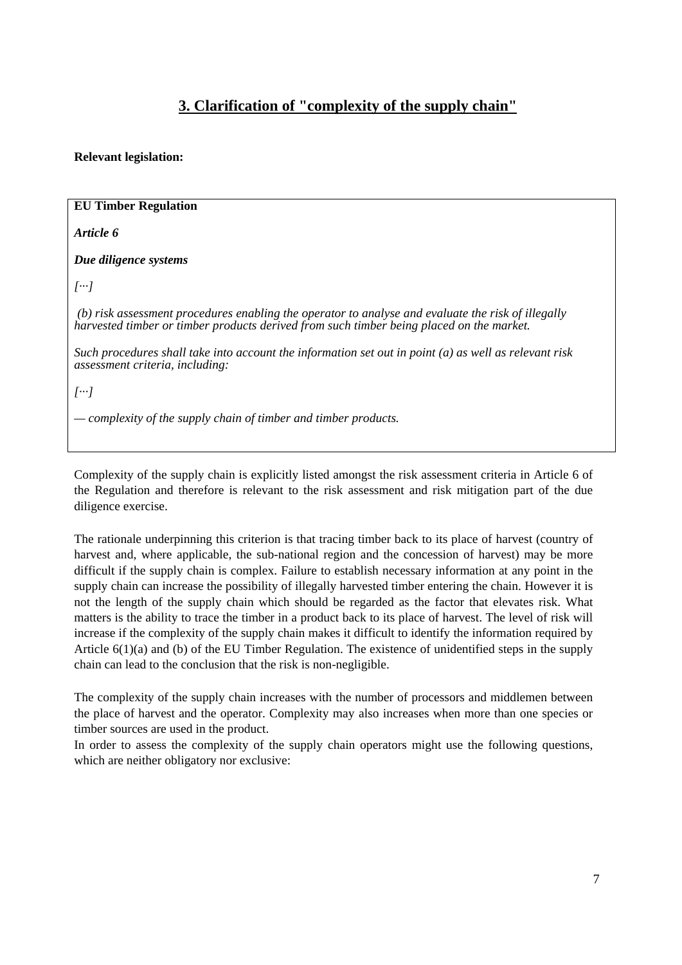# **3. Clarification of "complexity of the supply chain"**

### **Relevant legislation:**

| <b>EU Timber Regulation</b>                                                                                                                                                                    |
|------------------------------------------------------------------------------------------------------------------------------------------------------------------------------------------------|
| Article 6                                                                                                                                                                                      |
| Due diligence systems                                                                                                                                                                          |
| $[\cdots]$                                                                                                                                                                                     |
| (b) risk assessment procedures enabling the operator to analyse and evaluate the risk of illegally<br>harvested timber or timber products derived from such timber being placed on the market. |
| Such procedures shall take into account the information set out in point $(a)$ as well as relevant risk<br>assessment criteria, including:                                                     |
| $[\cdots]$                                                                                                                                                                                     |
| — complexity of the supply chain of timber and timber products.                                                                                                                                |
|                                                                                                                                                                                                |

Complexity of the supply chain is explicitly listed amongst the risk assessment criteria in Article 6 of the Regulation and therefore is relevant to the risk assessment and risk mitigation part of the due diligence exercise.

The rationale underpinning this criterion is that tracing timber back to its place of harvest (country of harvest and, where applicable, the sub-national region and the concession of harvest) may be more difficult if the supply chain is complex. Failure to establish necessary information at any point in the supply chain can increase the possibility of illegally harvested timber entering the chain. However it is not the length of the supply chain which should be regarded as the factor that elevates risk. What matters is the ability to trace the timber in a product back to its place of harvest. The level of risk will increase if the complexity of the supply chain makes it difficult to identify the information required by Article 6(1)(a) and (b) of the EU Timber Regulation. The existence of unidentified steps in the supply chain can lead to the conclusion that the risk is non-negligible.

The complexity of the supply chain increases with the number of processors and middlemen between the place of harvest and the operator. Complexity may also increases when more than one species or timber sources are used in the product.

In order to assess the complexity of the supply chain operators might use the following questions, which are neither obligatory nor exclusive: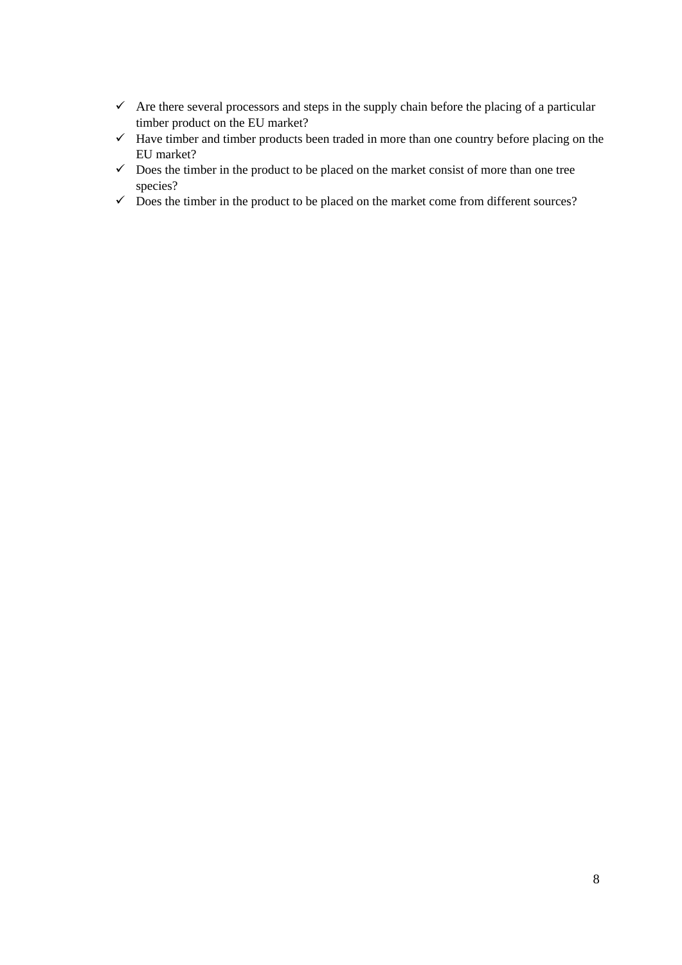- $\checkmark$  Are there several processors and steps in the supply chain before the placing of a particular timber product on the EU market?
- $\checkmark$  Have timber and timber products been traded in more than one country before placing on the EU market?
- $\checkmark$  Does the timber in the product to be placed on the market consist of more than one tree species?
- $\checkmark$  Does the timber in the product to be placed on the market come from different sources?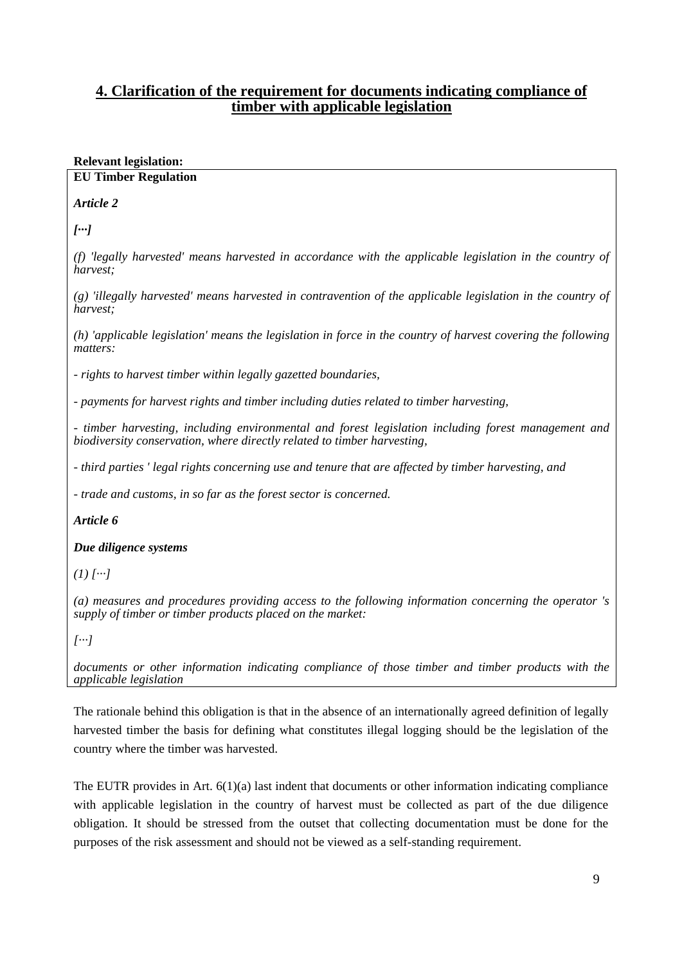# **4. Clarification of the requirement for documents indicating compliance of timber with applicable legislation**

### **Relevant legislation:**

#### **EU Timber Regulation**

*Article 2* 

*[···]* 

*(f) 'legally harvested' means harvested in accordance with the applicable legislation in the country of harvest;* 

*(g) 'illegally harvested' means harvested in contravention of the applicable legislation in the country of harvest;* 

*(h) 'applicable legislation' means the legislation in force in the country of harvest covering the following matters:* 

*- rights to harvest timber within legally gazetted boundaries,* 

*- payments for harvest rights and timber including duties related to timber harvesting,* 

*- timber harvesting, including environmental and forest legislation including forest management and biodiversity conservation, where directly related to timber harvesting,* 

*- third parties ' legal rights concerning use and tenure that are affected by timber harvesting, and* 

*- trade and customs, in so far as the forest sector is concerned.* 

*Article 6*

*Due diligence systems*

 $(1)$   $[...]$ 

*(a) measures and procedures providing access to the following information concerning the operator 's supply of timber or timber products placed on the market:* 

*[···]* 

*documents or other information indicating compliance of those timber and timber products with the applicable legislation* 

The rationale behind this obligation is that in the absence of an internationally agreed definition of legally harvested timber the basis for defining what constitutes illegal logging should be the legislation of the country where the timber was harvested.

The EUTR provides in Art. 6(1)(a) last indent that documents or other information indicating compliance with applicable legislation in the country of harvest must be collected as part of the due diligence obligation. It should be stressed from the outset that collecting documentation must be done for the purposes of the risk assessment and should not be viewed as a self-standing requirement.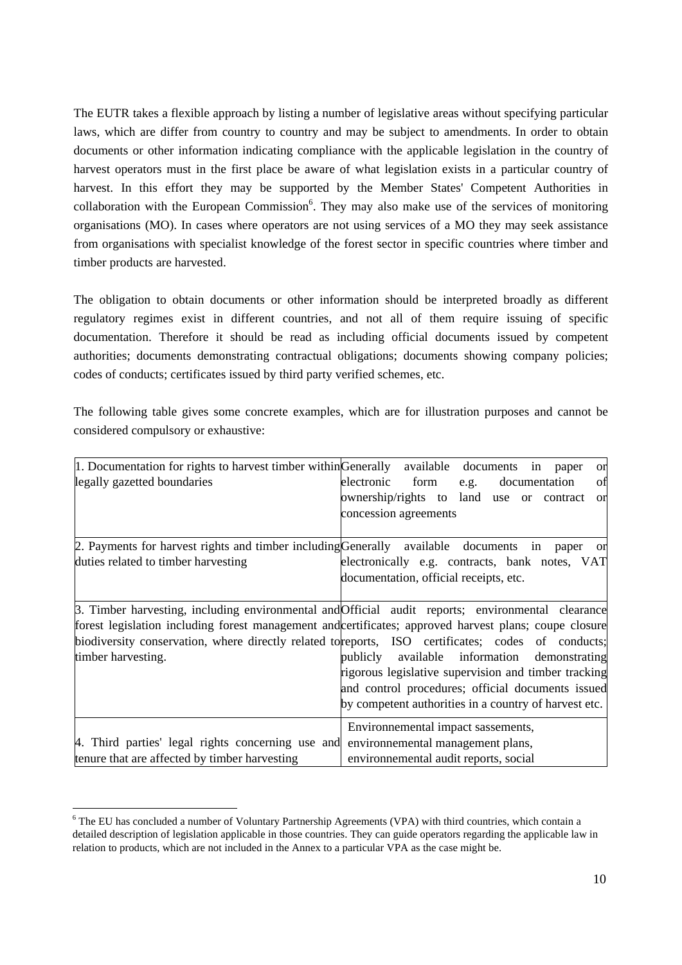The EUTR takes a flexible approach by listing a number of legislative areas without specifying particular laws, which are differ from country to country and may be subject to amendments. In order to obtain documents or other information indicating compliance with the applicable legislation in the country of harvest operators must in the first place be aware of what legislation exists in a particular country of harvest. In this effort they may be supported by the Member States' Competent Authorities in collaboration with the European Commission $6$ . They may also make use of the services of monitoring organisations (MO). In cases where operators are not using services of a MO they may seek assistance from organisations with specialist knowledge of the forest sector in specific countries where timber and timber products are harvested.

The obligation to obtain documents or other information should be interpreted broadly as different regulatory regimes exist in different countries, and not all of them require issuing of specific documentation. Therefore it should be read as including official documents issued by competent authorities; documents demonstrating contractual obligations; documents showing company policies; codes of conducts; certificates issued by third party verified schemes, etc.

The following table gives some concrete examples, which are for illustration purposes and cannot be considered compulsory or exhaustive:

| $\vert 1.$ Documentation for rights to harvest timber within Generally available documents             | in<br>paper<br>or                                            |
|--------------------------------------------------------------------------------------------------------|--------------------------------------------------------------|
| legally gazetted boundaries                                                                            | electronic form<br>of<br>documentation<br>e.g.               |
|                                                                                                        | ownership/rights to land<br>use or contract<br><sub>or</sub> |
|                                                                                                        | concession agreements                                        |
|                                                                                                        |                                                              |
| 2. Payments for harvest rights and timber including Generally available documents in paper             | <sub>or</sub>                                                |
| duties related to timber harvesting                                                                    | electronically e.g. contracts, bank notes, VAT               |
|                                                                                                        | documentation, official receipts, etc.                       |
|                                                                                                        |                                                              |
| 3. Timber harvesting, including environmental and Official audit reports; environmental clearance      |                                                              |
| forest legislation including forest management and certificates; approved harvest plans; coupe closure |                                                              |
| biodiversity conservation, where directly related to reports, ISO certificates; codes of conducts;     |                                                              |
| timber harvesting.                                                                                     | publicly available information demonstrating                 |
|                                                                                                        | rigorous legislative supervision and timber tracking         |
|                                                                                                        | and control procedures; official documents issued            |
|                                                                                                        | by competent authorities in a country of harvest etc.        |
|                                                                                                        | Environnemental impact sassements,                           |
| 4. Third parties' legal rights concerning use and                                                      | environnemental management plans,                            |
| tenure that are affected by timber harvesting                                                          | environnemental audit reports, social                        |

<sup>&</sup>lt;sup>6</sup> The EU has concluded a number of Voluntary Partnership Agreements (VPA) with third countries, which contain a detailed description of legislation applicable in those countries. They can guide operators regarding the applicable law in relation to products, which are not included in the Annex to a particular VPA as the case might be.

1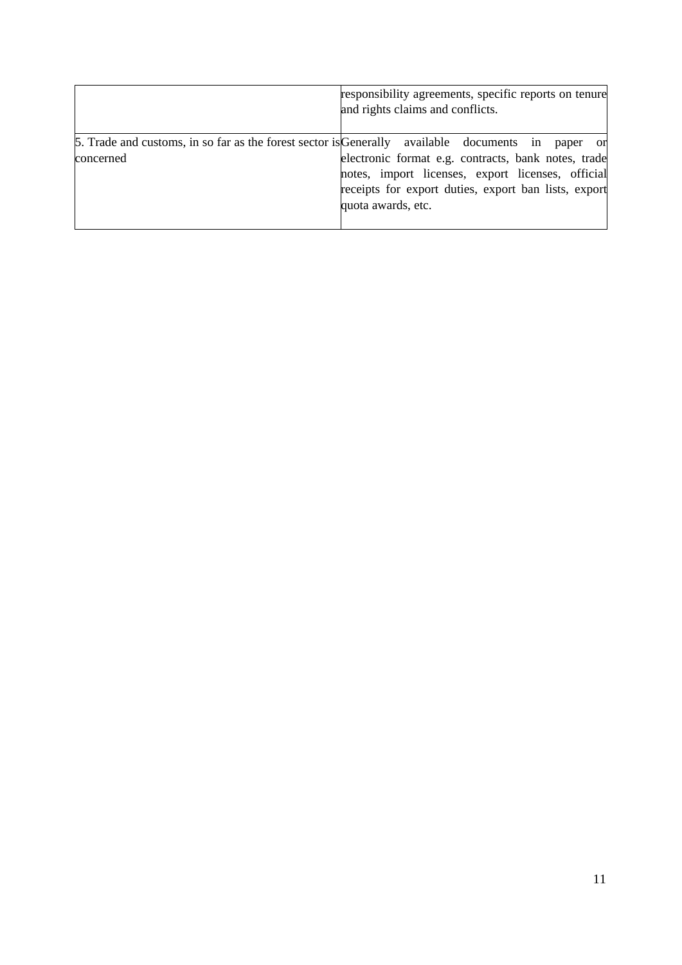|                                                                                                | responsibility agreements, specific reports on tenure<br>and rights claims and conflicts. |
|------------------------------------------------------------------------------------------------|-------------------------------------------------------------------------------------------|
| 5. Trade and customs, in so far as the forest sector is Generally available documents in paper | <sub>or</sub>                                                                             |
| concerned                                                                                      | electronic format e.g. contracts, bank notes, trade                                       |
|                                                                                                | notes, import licenses, export licenses, official                                         |
|                                                                                                | receipts for export duties, export ban lists, export                                      |
|                                                                                                | quota awards, etc.                                                                        |
|                                                                                                |                                                                                           |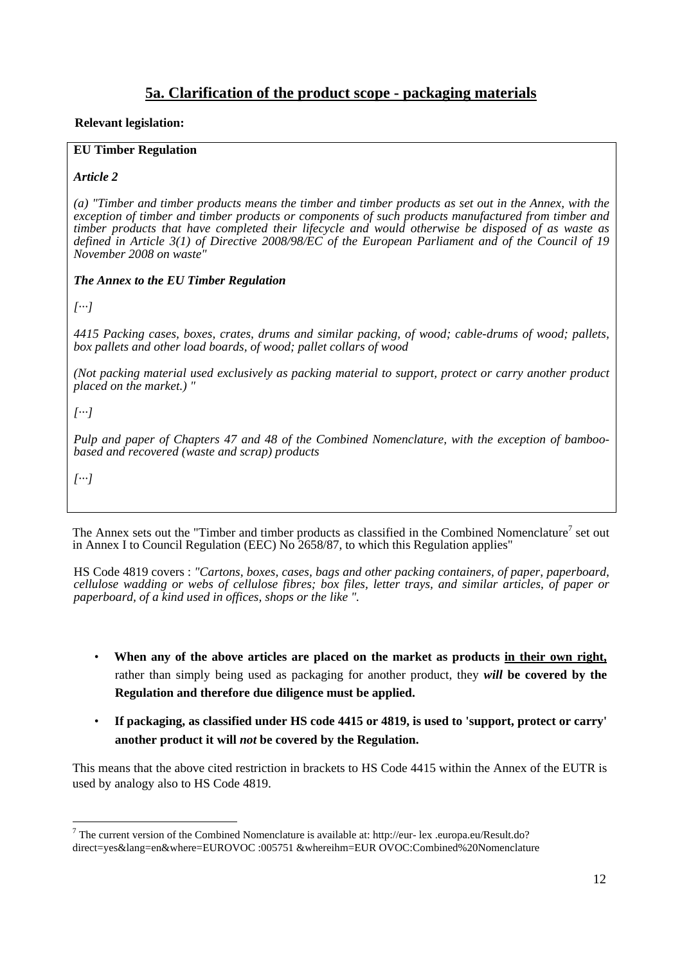# **5a. Clarification of the product scope - packaging materials**

#### **Relevant legislation:**

#### **EU Timber Regulation**

#### *Article 2*

*(a) "Timber and timber products means the timber and timber products as set out in the Annex, with the exception of timber and timber products or components of such products manufactured from timber and timber products that have completed their lifecycle and would otherwise be disposed of as waste as defined in Article 3(1) of Directive 2008/98/EC of the European Parliament and of the Council of 19 November 2008 on waste"* 

#### *The Annex to the EU Timber Regulation*

*[···]* 

*4415 Packing cases, boxes, crates, drums and similar packing, of wood; cable-drums of wood; pallets, box pallets and other load boards, of wood; pallet collars of wood* 

*(Not packing material used exclusively as packing material to support, protect or carry another product placed on the market.) "* 

*[···]* 

*Pulp and paper of Chapters 47 and 48 of the Combined Nomenclature, with the exception of bamboobased and recovered (waste and scrap) products* 

*[···]* 

1

The Annex sets out the "Timber and timber products as classified in the Combined Nomenclature<sup>7</sup> set out in Annex I to Council Regulation (EEC) No 2658/87, to which this Regulation applies"

HS Code 4819 covers : *"Cartons, boxes, cases, bags and other packing containers, of paper, paperboard, cellulose wadding or webs of cellulose fibres; box files, letter trays, and similar articles, of paper or paperboard, of a kind used in offices, shops or the like ".* 

- **When any of the above articles are placed on the market as products in their own right,** rather than simply being used as packaging for another product, they *will* **be covered by the Regulation and therefore due diligence must be applied.**
- **If packaging, as classified under HS code 4415 or 4819, is used to 'support, protect or carry' another product it will** *not* **be covered by the Regulation.**

This means that the above cited restriction in brackets to HS Code 4415 within the Annex of the EUTR is used by analogy also to HS Code 4819.

<sup>&</sup>lt;sup>7</sup> The current version of the Combined Nomenclature is available at: http://eur- lex .europa.eu/Result.do? direct=yes&lang=en&where=EUROVOC :005751 &whereihm=EUR OVOC:Combined%20Nomenclature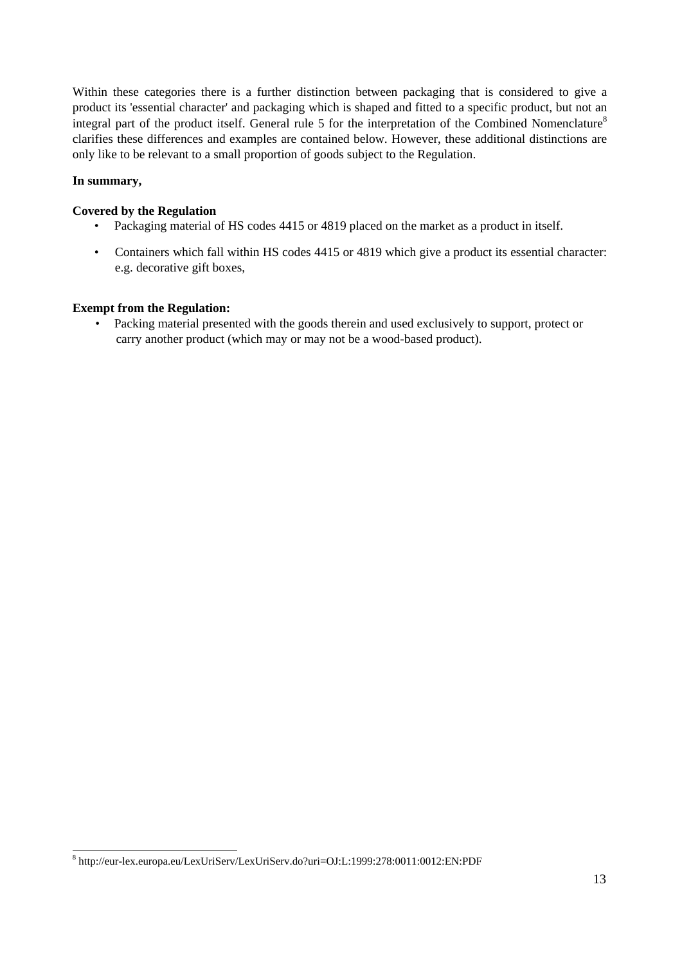Within these categories there is a further distinction between packaging that is considered to give a product its 'essential character' and packaging which is shaped and fitted to a specific product, but not an integral part of the product itself. General rule 5 for the interpretation of the Combined Nomenclature<sup>8</sup> clarifies these differences and examples are contained below. However, these additional distinctions are only like to be relevant to a small proportion of goods subject to the Regulation.

#### **In summary,**

#### **Covered by the Regulation**

- Packaging material of HS codes 4415 or 4819 placed on the market as a product in itself.
- Containers which fall within HS codes 4415 or 4819 which give a product its essential character: e.g. decorative gift boxes,

#### **Exempt from the Regulation:**

• Packing material presented with the goods therein and used exclusively to support, protect or carry another product (which may or may not be a wood-based product).

 8 http://eur-lex.europa.eu/LexUriServ/LexUriServ.do?uri=OJ:L:1999:278:0011:0012:EN:PDF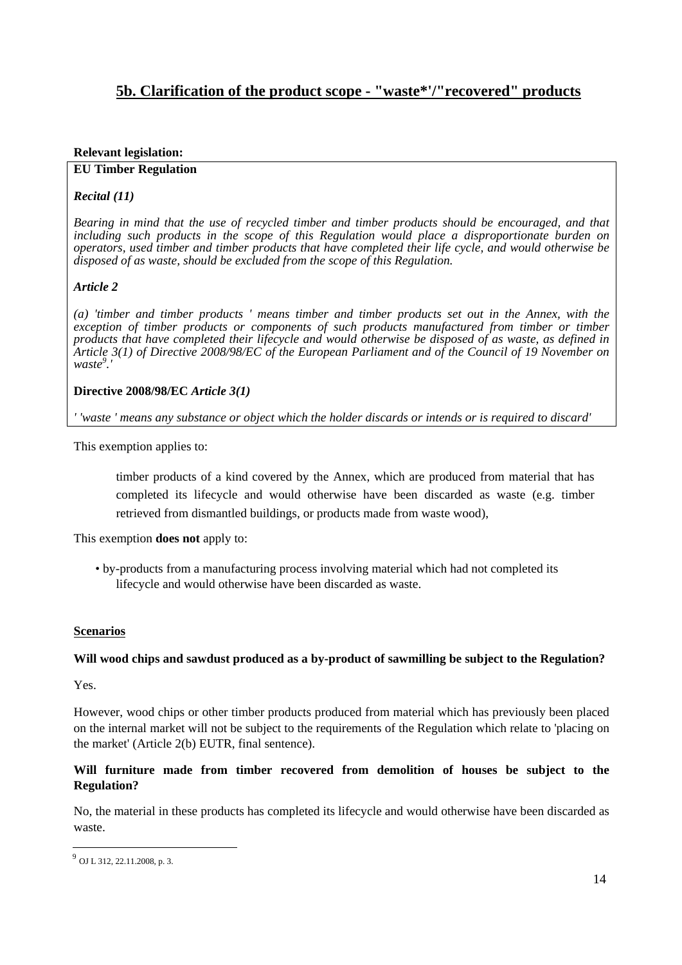# **5b. Clarification of the product scope - "waste\*'/"recovered" products**

#### **Relevant legislation:**

#### **EU Timber Regulation**

### *Recital (11)*

*Bearing in mind that the use of recycled timber and timber products should be encouraged, and that*  including such products in the scope of this Regulation would place a disproportionate burden on *operators, used timber and timber products that have completed their life cycle, and would otherwise be disposed of as waste, should be excluded from the scope of this Regulation.* 

#### *Article 2*

*(a) 'timber and timber products ' means timber and timber products set out in the Annex, with the*  exception of timber products or components of such products manufactured from timber or timber *products that have completed their lifecycle and would otherwise be disposed of as waste, as defined in Article 3(1) of Directive 2008/98/EC of the European Parliament and of the Council of 19 November on waste<sup>9</sup> .'* 

#### **Directive 2008/98/EC** *Article 3(1)*

*' 'waste ' means any substance or object which the holder discards or intends or is required to discard'* 

This exemption applies to:

timber products of a kind covered by the Annex, which are produced from material that has completed its lifecycle and would otherwise have been discarded as waste (e.g. timber retrieved from dismantled buildings, or products made from waste wood),

This exemption **does not** apply to:

• by-products from a manufacturing process involving material which had not completed its lifecycle and would otherwise have been discarded as waste.

#### **Scenarios**

#### **Will wood chips and sawdust produced as a by-product of sawmilling be subject to the Regulation?**

Yes.

1

However, wood chips or other timber products produced from material which has previously been placed on the internal market will not be subject to the requirements of the Regulation which relate to 'placing on the market' (Article 2(b) EUTR, final sentence).

#### **Will furniture made from timber recovered from demolition of houses be subject to the Regulation?**

No, the material in these products has completed its lifecycle and would otherwise have been discarded as waste.

<sup>9</sup> OJ L 312, 22.11.2008, p. 3.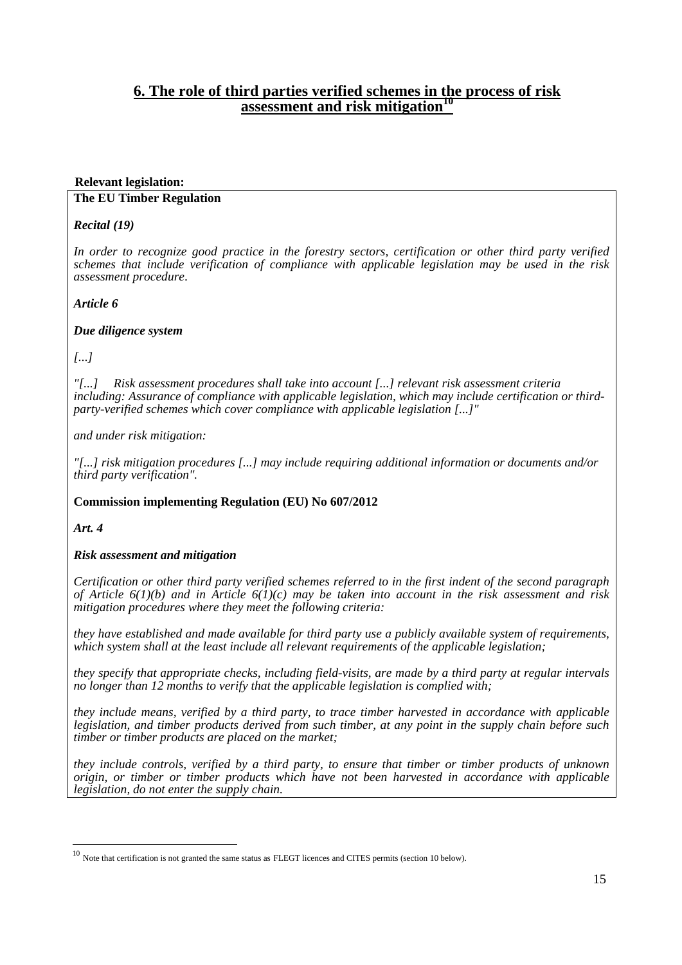# **6. The role of third parties verified schemes in the process of risk assessment and risk mitigation**<sup>10</sup>

#### **Relevant legislation:**

#### **The EU Timber Regulation**

#### *Recital (19)*

*In order to recognize good practice in the forestry sectors, certification or other third party verified schemes that include verification of compliance with applicable legislation may be used in the risk assessment procedure*.

#### *Article 6*

#### *Due diligence system*

*[...]* 

*"[...] Risk assessment procedures shall take into account [...] relevant risk assessment criteria including: Assurance of compliance with applicable legislation, which may include certification or thirdparty-verified schemes which cover compliance with applicable legislation [...]"* 

*and under risk mitigation:* 

*"[...] risk mitigation procedures [...] may include requiring additional information or documents and/or third party verification".* 

### **Commission implementing Regulation (EU) No 607/2012**

*Art. 4*

1

### *Risk assessment and mitigation*

*Certification or other third party verified schemes referred to in the first indent of the second paragraph of Article 6(1)(b) and in Article 6(1)(c) may be taken into account in the risk assessment and risk mitigation procedures where they meet the following criteria:* 

*they have established and made available for third party use a publicly available system of requirements, which system shall at the least include all relevant requirements of the applicable legislation;* 

*they specify that appropriate checks, including field-visits, are made by a third party at regular intervals no longer than 12 months to verify that the applicable legislation is complied with;* 

*they include means, verified by a third party, to trace timber harvested in accordance with applicable legislation, and timber products derived from such timber, at any point in the supply chain before such timber or timber products are placed on the market;* 

*they include controls, verified by a third party, to ensure that timber or timber products of unknown origin, or timber or timber products which have not been harvested in accordance with applicable legislation, do not enter the supply chain.*

 $10$  Note that certification is not granted the same status as FLEGT licences and CITES permits (section 10 below).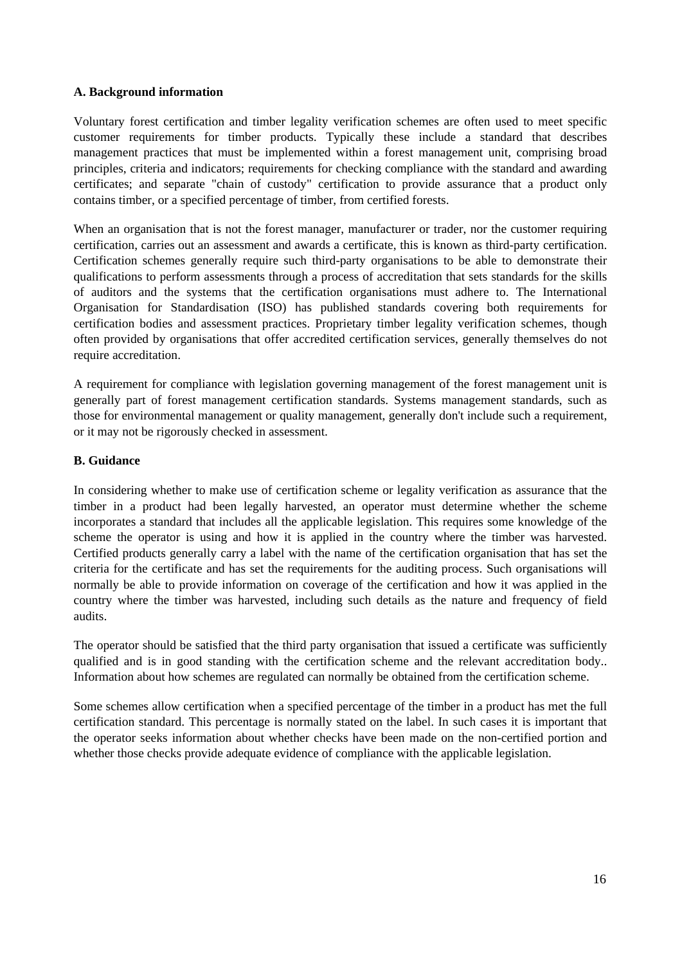#### **A. Background information**

Voluntary forest certification and timber legality verification schemes are often used to meet specific customer requirements for timber products. Typically these include a standard that describes management practices that must be implemented within a forest management unit, comprising broad principles, criteria and indicators; requirements for checking compliance with the standard and awarding certificates; and separate "chain of custody" certification to provide assurance that a product only contains timber, or a specified percentage of timber, from certified forests.

When an organisation that is not the forest manager, manufacturer or trader, nor the customer requiring certification, carries out an assessment and awards a certificate, this is known as third-party certification. Certification schemes generally require such third-party organisations to be able to demonstrate their qualifications to perform assessments through a process of accreditation that sets standards for the skills of auditors and the systems that the certification organisations must adhere to. The International Organisation for Standardisation (ISO) has published standards covering both requirements for certification bodies and assessment practices. Proprietary timber legality verification schemes, though often provided by organisations that offer accredited certification services, generally themselves do not require accreditation.

A requirement for compliance with legislation governing management of the forest management unit is generally part of forest management certification standards. Systems management standards, such as those for environmental management or quality management, generally don't include such a requirement, or it may not be rigorously checked in assessment.

#### **B. Guidance**

In considering whether to make use of certification scheme or legality verification as assurance that the timber in a product had been legally harvested, an operator must determine whether the scheme incorporates a standard that includes all the applicable legislation. This requires some knowledge of the scheme the operator is using and how it is applied in the country where the timber was harvested. Certified products generally carry a label with the name of the certification organisation that has set the criteria for the certificate and has set the requirements for the auditing process. Such organisations will normally be able to provide information on coverage of the certification and how it was applied in the country where the timber was harvested, including such details as the nature and frequency of field audits.

The operator should be satisfied that the third party organisation that issued a certificate was sufficiently qualified and is in good standing with the certification scheme and the relevant accreditation body.. Information about how schemes are regulated can normally be obtained from the certification scheme.

Some schemes allow certification when a specified percentage of the timber in a product has met the full certification standard. This percentage is normally stated on the label. In such cases it is important that the operator seeks information about whether checks have been made on the non-certified portion and whether those checks provide adequate evidence of compliance with the applicable legislation.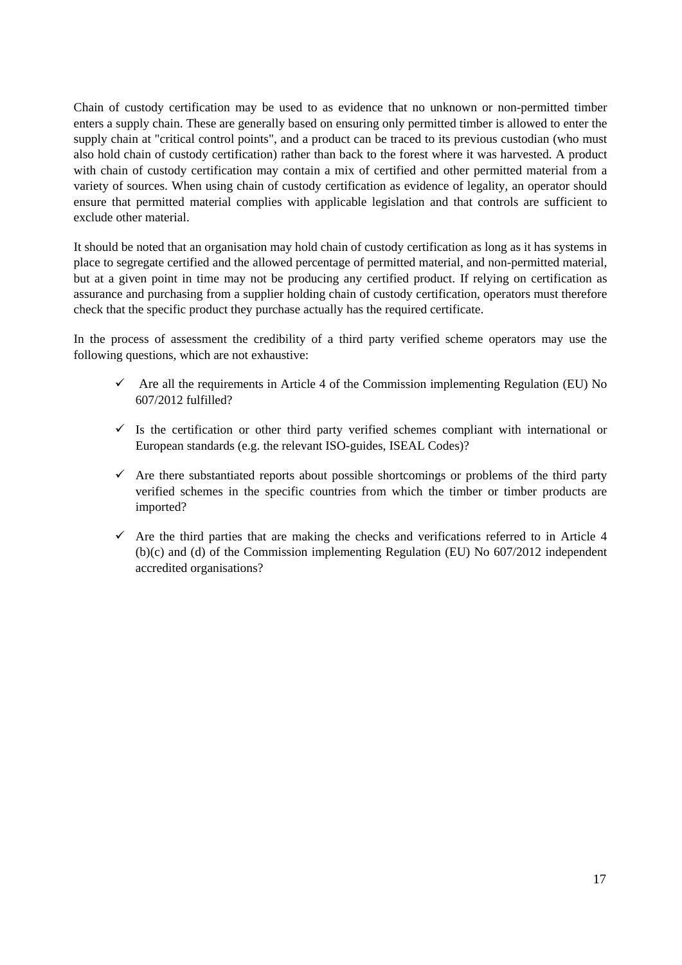Chain of custody certification may be used to as evidence that no unknown or non-permitted timber enters a supply chain. These are generally based on ensuring only permitted timber is allowed to enter the supply chain at "critical control points", and a product can be traced to its previous custodian (who must also hold chain of custody certification) rather than back to the forest where it was harvested. A product with chain of custody certification may contain a mix of certified and other permitted material from a variety of sources. When using chain of custody certification as evidence of legality, an operator should ensure that permitted material complies with applicable legislation and that controls are sufficient to exclude other material.

It should be noted that an organisation may hold chain of custody certification as long as it has systems in place to segregate certified and the allowed percentage of permitted material, and non-permitted material, but at a given point in time may not be producing any certified product. If relying on certification as assurance and purchasing from a supplier holding chain of custody certification, operators must therefore check that the specific product they purchase actually has the required certificate.

In the process of assessment the credibility of a third party verified scheme operators may use the following questions, which are not exhaustive:

- $\checkmark$  Are all the requirements in Article 4 of the Commission implementing Regulation (EU) No 607/2012 fulfilled?
- $\checkmark$  Is the certification or other third party verified schemes compliant with international or European standards (e.g. the relevant ISO-guides, ISEAL Codes)?
- $\checkmark$  Are there substantiated reports about possible shortcomings or problems of the third party verified schemes in the specific countries from which the timber or timber products are imported?
- $\checkmark$  Are the third parties that are making the checks and verifications referred to in Article 4 (b)(c) and (d) of the Commission implementing Regulation (EU) No 607/2012 independent accredited organisations?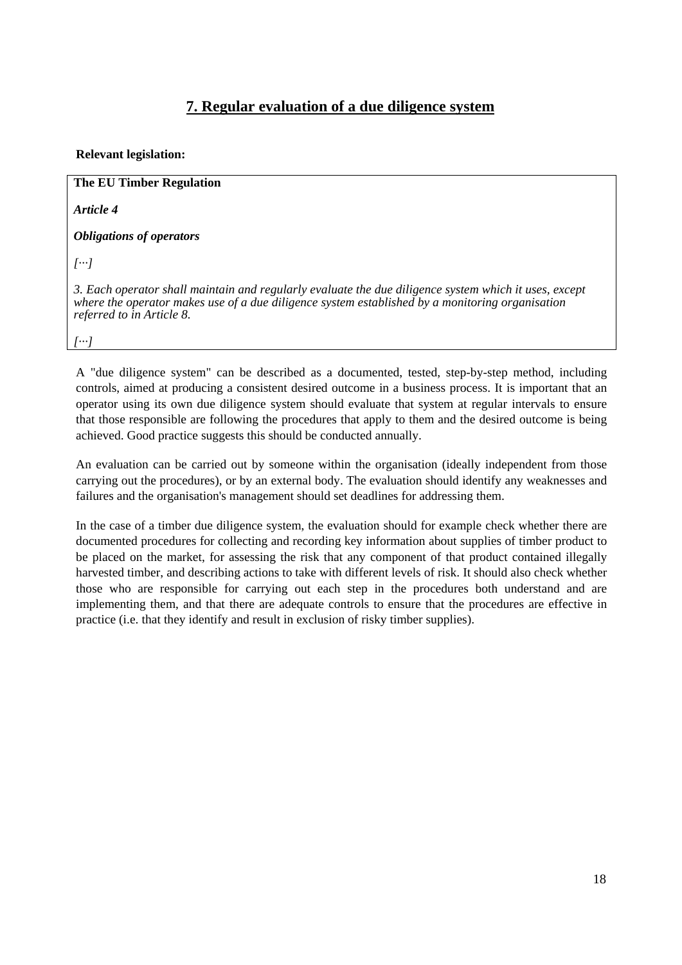# **7. Regular evaluation of a due diligence system**

### **Relevant legislation:**

**The EU Timber Regulation** *Article 4*

*Obligations of operators* 

*[···]* 

*3. Each operator shall maintain and regularly evaluate the due diligence system which it uses, except where the operator makes use of a due diligence system established by a monitoring organisation referred to in Article 8.* 

*[···]* 

A "due diligence system" can be described as a documented, tested, step-by-step method, including controls, aimed at producing a consistent desired outcome in a business process. It is important that an operator using its own due diligence system should evaluate that system at regular intervals to ensure that those responsible are following the procedures that apply to them and the desired outcome is being achieved. Good practice suggests this should be conducted annually.

An evaluation can be carried out by someone within the organisation (ideally independent from those carrying out the procedures), or by an external body. The evaluation should identify any weaknesses and failures and the organisation's management should set deadlines for addressing them.

In the case of a timber due diligence system, the evaluation should for example check whether there are documented procedures for collecting and recording key information about supplies of timber product to be placed on the market, for assessing the risk that any component of that product contained illegally harvested timber, and describing actions to take with different levels of risk. It should also check whether those who are responsible for carrying out each step in the procedures both understand and are implementing them, and that there are adequate controls to ensure that the procedures are effective in practice (i.e. that they identify and result in exclusion of risky timber supplies).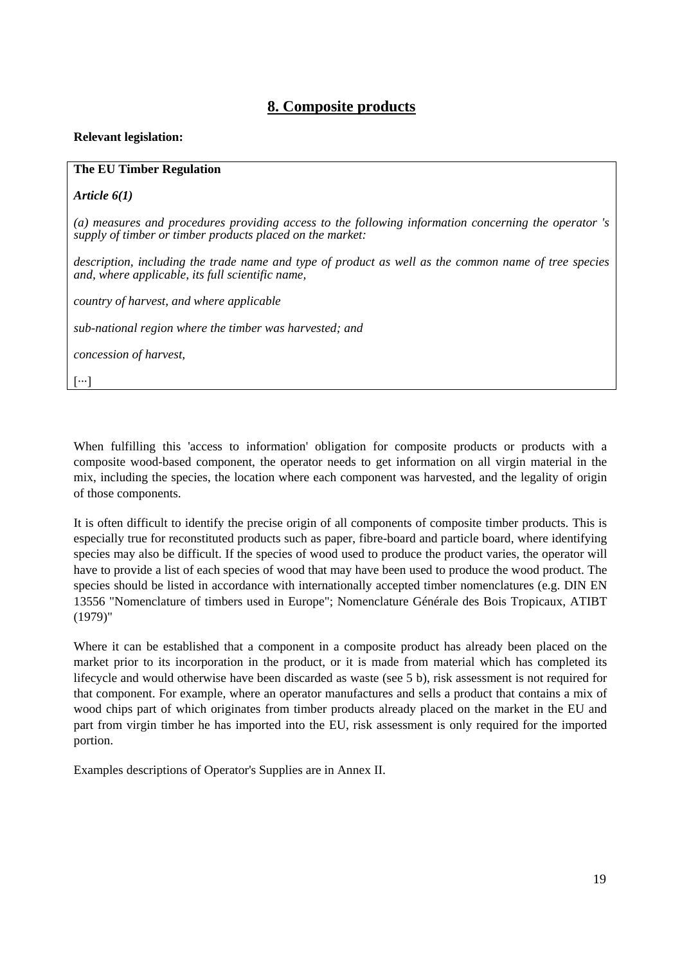# **8. Composite products**

#### **Relevant legislation:**

#### **The EU Timber Regulation**

*Article 6(1)*

*(a) measures and procedures providing access to the following information concerning the operator 's supply of timber or timber products placed on the market:* 

*description, including the trade name and type of product as well as the common name of tree species and, where applicable, its full scientific name,* 

*country of harvest, and where applicable* 

*sub-national region where the timber was harvested; and* 

*concession of harvest,* 

[···]

When fulfilling this 'access to information' obligation for composite products or products with a composite wood-based component, the operator needs to get information on all virgin material in the mix, including the species, the location where each component was harvested, and the legality of origin of those components.

It is often difficult to identify the precise origin of all components of composite timber products. This is especially true for reconstituted products such as paper, fibre-board and particle board, where identifying species may also be difficult. If the species of wood used to produce the product varies, the operator will have to provide a list of each species of wood that may have been used to produce the wood product. The species should be listed in accordance with internationally accepted timber nomenclatures (e.g. DIN EN 13556 "Nomenclature of timbers used in Europe"; Nomenclature Générale des Bois Tropicaux, ATIBT (1979)"

Where it can be established that a component in a composite product has already been placed on the market prior to its incorporation in the product, or it is made from material which has completed its lifecycle and would otherwise have been discarded as waste (see 5 b), risk assessment is not required for that component. For example, where an operator manufactures and sells a product that contains a mix of wood chips part of which originates from timber products already placed on the market in the EU and part from virgin timber he has imported into the EU, risk assessment is only required for the imported portion.

Examples descriptions of Operator's Supplies are in Annex II.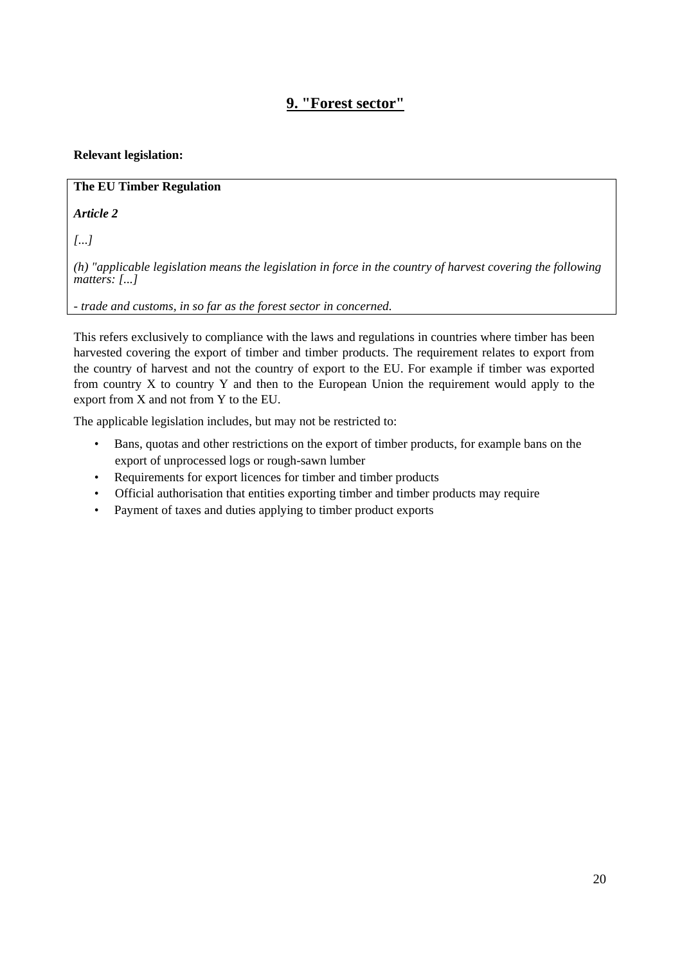# **9. "Forest sector"**

### **Relevant legislation:**

### **The EU Timber Regulation**

*Article 2*

*[...]* 

*(h) "applicable legislation means the legislation in force in the country of harvest covering the following matters: [...]* 

*- trade and customs, in so far as the forest sector in concerned.* 

This refers exclusively to compliance with the laws and regulations in countries where timber has been harvested covering the export of timber and timber products. The requirement relates to export from the country of harvest and not the country of export to the EU. For example if timber was exported from country X to country Y and then to the European Union the requirement would apply to the export from X and not from Y to the EU.

The applicable legislation includes, but may not be restricted to:

- Bans, quotas and other restrictions on the export of timber products, for example bans on the export of unprocessed logs or rough-sawn lumber
- Requirements for export licences for timber and timber products
- Official authorisation that entities exporting timber and timber products may require
- Payment of taxes and duties applying to timber product exports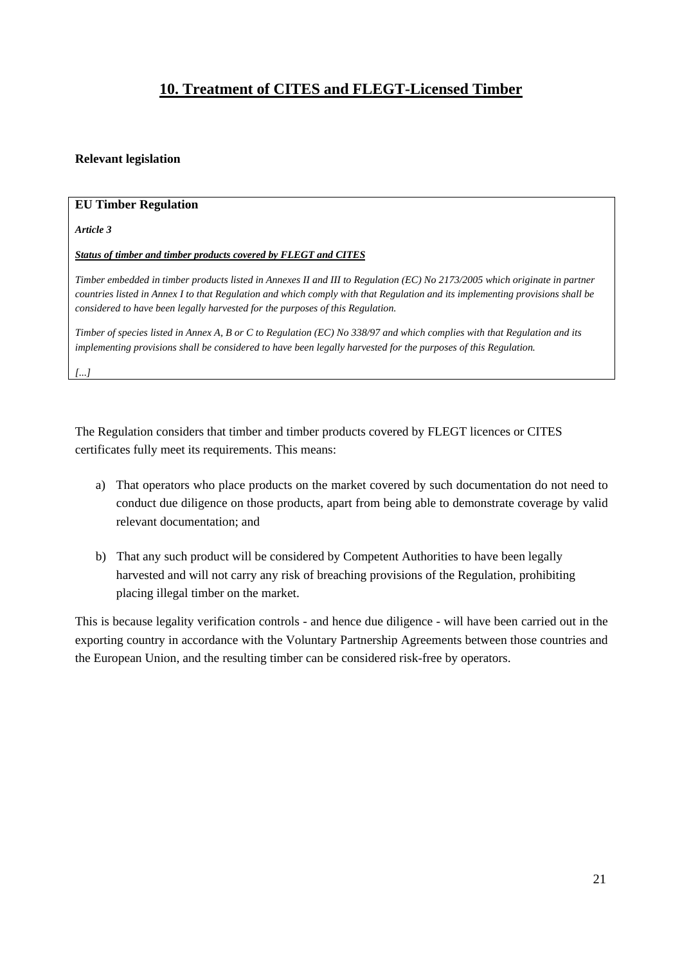# **10. Treatment of CITES and FLEGT-Licensed Timber**

#### **Relevant legislation**

#### **EU Timber Regulation**

*Article 3* 

#### *Status of timber and timber products covered by FLEGT and CITES*

*Timber embedded in timber products listed in Annexes II and III to Regulation (EC) No 2173/2005 which originate in partner countries listed in Annex I to that Regulation and which comply with that Regulation and its implementing provisions shall be considered to have been legally harvested for the purposes of this Regulation.* 

*Timber of species listed in Annex A, B or C to Regulation (EC) No 338/97 and which complies with that Regulation and its implementing provisions shall be considered to have been legally harvested for the purposes of this Regulation.* 

*[...]* 

The Regulation considers that timber and timber products covered by FLEGT licences or CITES certificates fully meet its requirements. This means:

- a) That operators who place products on the market covered by such documentation do not need to conduct due diligence on those products, apart from being able to demonstrate coverage by valid relevant documentation; and
- b) That any such product will be considered by Competent Authorities to have been legally harvested and will not carry any risk of breaching provisions of the Regulation, prohibiting placing illegal timber on the market.

This is because legality verification controls - and hence due diligence - will have been carried out in the exporting country in accordance with the Voluntary Partnership Agreements between those countries and the European Union, and the resulting timber can be considered risk-free by operators.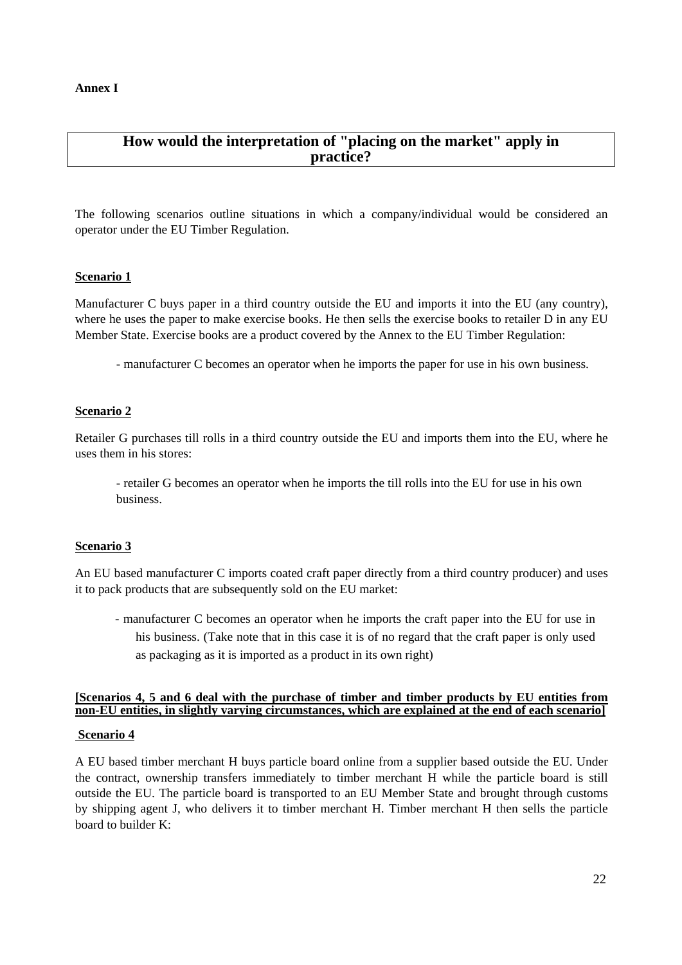# **How would the interpretation of "placing on the market" apply in practice?**

The following scenarios outline situations in which a company/individual would be considered an operator under the EU Timber Regulation.

#### **Scenario 1**

Manufacturer C buys paper in a third country outside the EU and imports it into the EU (any country), where he uses the paper to make exercise books. He then sells the exercise books to retailer D in any EU Member State. Exercise books are a product covered by the Annex to the EU Timber Regulation:

- manufacturer C becomes an operator when he imports the paper for use in his own business.

#### **Scenario 2**

Retailer G purchases till rolls in a third country outside the EU and imports them into the EU, where he uses them in his stores:

- retailer G becomes an operator when he imports the till rolls into the EU for use in his own business.

#### **Scenario 3**

An EU based manufacturer C imports coated craft paper directly from a third country producer) and uses it to pack products that are subsequently sold on the EU market:

- manufacturer C becomes an operator when he imports the craft paper into the EU for use in his business. (Take note that in this case it is of no regard that the craft paper is only used as packaging as it is imported as a product in its own right)

### **[Scenarios 4, 5 and 6 deal with the purchase of timber and timber products by EU entities from non-EU entities, in slightly varying circumstances, which are explained at the end of each scenario]**

#### **Scenario 4**

A EU based timber merchant H buys particle board online from a supplier based outside the EU. Under the contract, ownership transfers immediately to timber merchant H while the particle board is still outside the EU. The particle board is transported to an EU Member State and brought through customs by shipping agent J, who delivers it to timber merchant H. Timber merchant H then sells the particle board to builder K: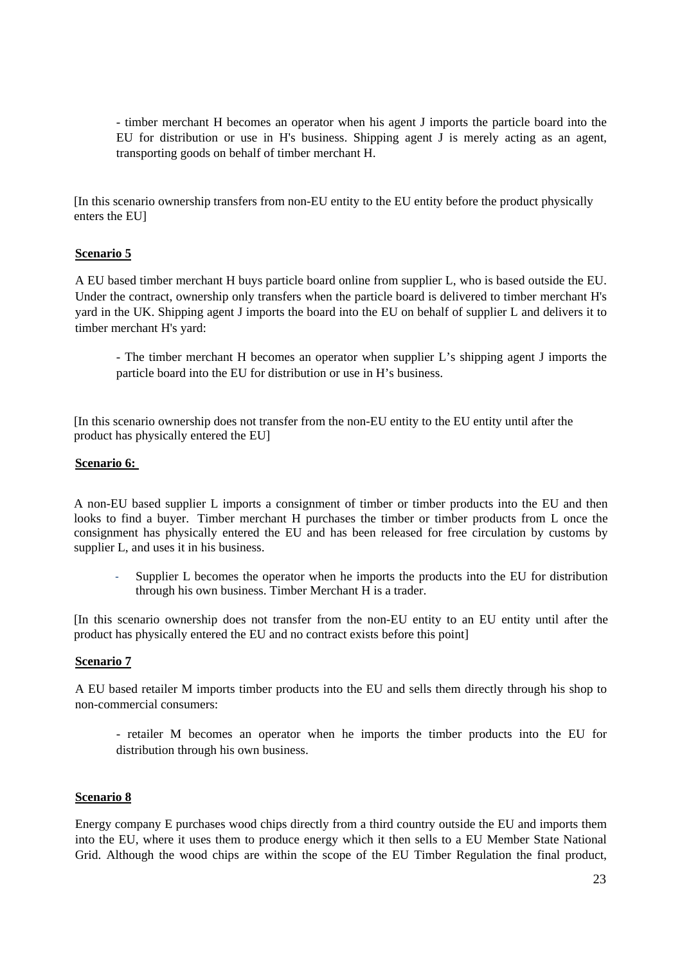- timber merchant H becomes an operator when his agent J imports the particle board into the EU for distribution or use in H's business. Shipping agent J is merely acting as an agent, transporting goods on behalf of timber merchant H.

[In this scenario ownership transfers from non-EU entity to the EU entity before the product physically enters the EU]

#### **Scenario 5**

A EU based timber merchant H buys particle board online from supplier L, who is based outside the EU. Under the contract, ownership only transfers when the particle board is delivered to timber merchant H's yard in the UK. Shipping agent J imports the board into the EU on behalf of supplier L and delivers it to timber merchant H's yard:

- The timber merchant H becomes an operator when supplier L's shipping agent J imports the particle board into the EU for distribution or use in H's business.

[In this scenario ownership does not transfer from the non-EU entity to the EU entity until after the product has physically entered the EU]

#### **Scenario 6:**

A non-EU based supplier L imports a consignment of timber or timber products into the EU and then looks to find a buyer. Timber merchant H purchases the timber or timber products from L once the consignment has physically entered the EU and has been released for free circulation by customs by supplier L, and uses it in his business.

Supplier L becomes the operator when he imports the products into the EU for distribution through his own business. Timber Merchant H is a trader.

[In this scenario ownership does not transfer from the non-EU entity to an EU entity until after the product has physically entered the EU and no contract exists before this point]

#### **Scenario 7**

A EU based retailer M imports timber products into the EU and sells them directly through his shop to non-commercial consumers:

- retailer M becomes an operator when he imports the timber products into the EU for distribution through his own business.

#### **Scenario 8**

Energy company E purchases wood chips directly from a third country outside the EU and imports them into the EU, where it uses them to produce energy which it then sells to a EU Member State National Grid. Although the wood chips are within the scope of the EU Timber Regulation the final product,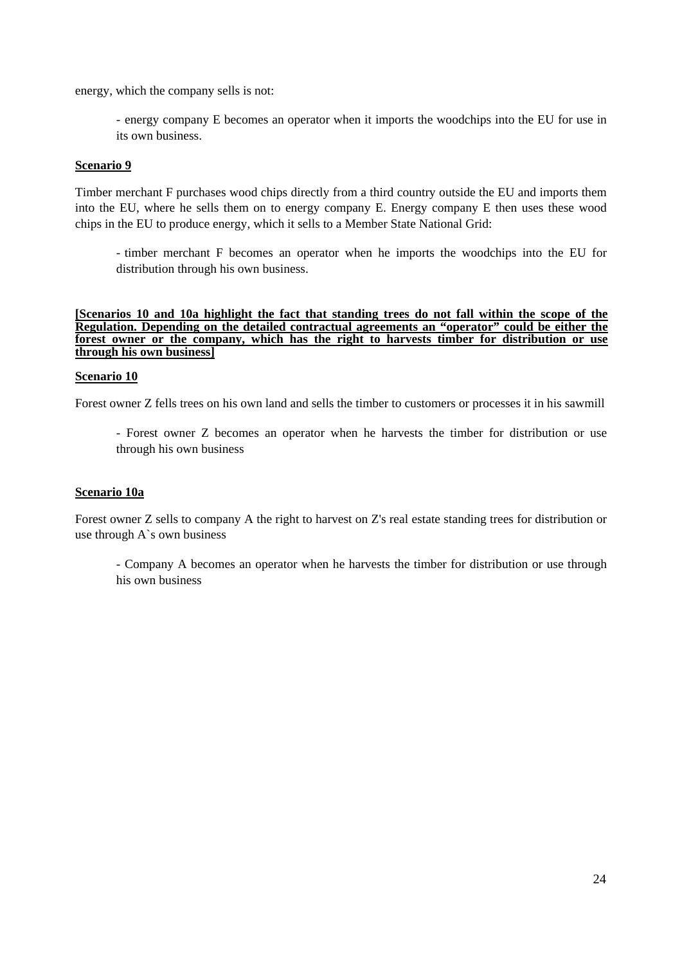energy, which the company sells is not:

- energy company E becomes an operator when it imports the woodchips into the EU for use in its own business.

#### **Scenario 9**

Timber merchant F purchases wood chips directly from a third country outside the EU and imports them into the EU, where he sells them on to energy company E. Energy company E then uses these wood chips in the EU to produce energy, which it sells to a Member State National Grid:

- timber merchant F becomes an operator when he imports the woodchips into the EU for distribution through his own business.

**[Scenarios 10 and 10a highlight the fact that standing trees do not fall within the scope of the Regulation. Depending on the detailed contractual agreements an "operator" could be either the**  forest owner or the company, which has the right to harvests timber for distribution or use **through his own business]**

#### **Scenario 10**

Forest owner Z fells trees on his own land and sells the timber to customers or processes it in his sawmill

- Forest owner Z becomes an operator when he harvests the timber for distribution or use through his own business

#### **Scenario 10a**

Forest owner Z sells to company A the right to harvest on Z's real estate standing trees for distribution or use through A`s own business

- Company A becomes an operator when he harvests the timber for distribution or use through his own business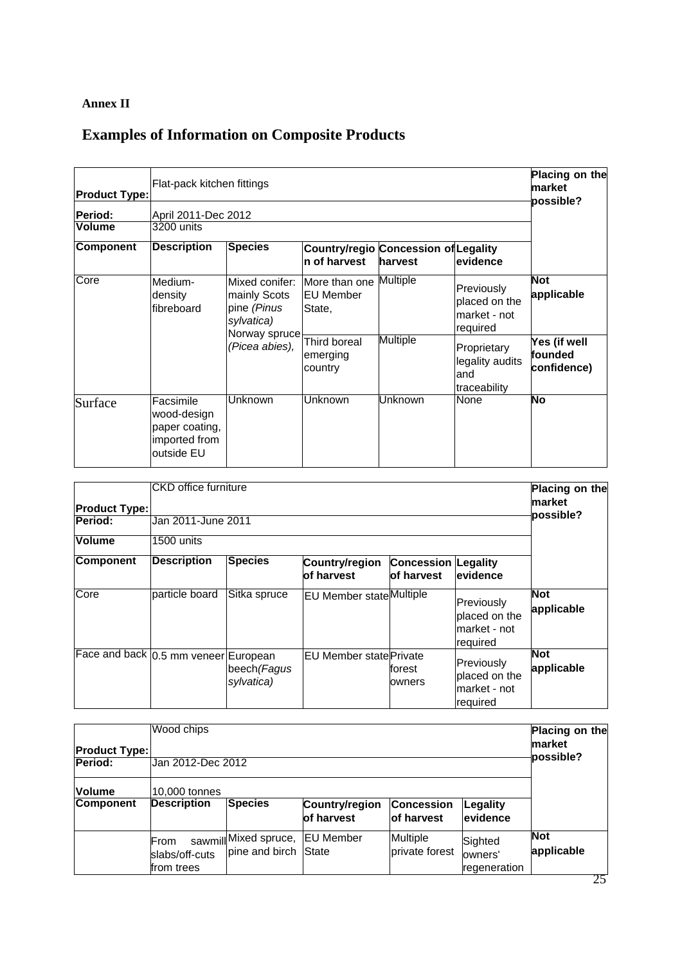# **Annex II**

# **Examples of Information on Composite Products**

| <b>Product Type:</b>            | Flat-pack kitchen fittings                                                | Placing on the<br>market<br>possible?                                                                 |                                             |                 |                                                         |                                         |  |  |  |
|---------------------------------|---------------------------------------------------------------------------|-------------------------------------------------------------------------------------------------------|---------------------------------------------|-----------------|---------------------------------------------------------|-----------------------------------------|--|--|--|
| <b>Period:</b><br><b>Volume</b> | April 2011-Dec 2012<br>3200 units                                         |                                                                                                       |                                             |                 |                                                         |                                         |  |  |  |
| <b>Component</b>                | <b>Description</b>                                                        | <b>Species</b><br><b>Country/regio Concession of Legality</b><br>n of harvest<br>harvest<br>levidence |                                             |                 |                                                         |                                         |  |  |  |
| Core                            | Medium-<br>density<br>fibreboard                                          | Mixed conifer:<br>mainly Scots<br>pine (Pinus<br>sylvatica)<br>Norway spruce                          | More than one<br><b>EU Member</b><br>State, | <b>Multiple</b> | Previously<br>placed on the<br>market - not<br>required | <b>Not</b><br>applicable                |  |  |  |
|                                 |                                                                           | (Picea abies),                                                                                        | Third boreal<br>emerging<br>country         | <b>Multiple</b> | Proprietary<br>legality audits<br>and<br>traceability   | Yes (if well<br>lfounded<br>confidence) |  |  |  |
| Surface                         | Facsimile<br>wood-design<br>paper coating,<br>imported from<br>outside EU | Unknown                                                                                               | Unknown                                     | <b>Unknown</b>  | None                                                    | <b>No</b>                               |  |  |  |

| <b>Product Type:</b><br><b>Period:</b><br><b>Volume</b> | Placing on the<br>market<br>possible? |                            |                                 |                                          |                                                          |                          |
|---------------------------------------------------------|---------------------------------------|----------------------------|---------------------------------|------------------------------------------|----------------------------------------------------------|--------------------------|
| <b>Component</b>                                        | 1500 units<br><b>Description</b>      | <b>Species</b>             | Country/region<br>of harvest    | <b>Concession Legality</b><br>of harvest | evidence                                                 |                          |
| Core                                                    | particle board                        | Sitka spruce               | <b>EU Member state Multiple</b> |                                          | Previously<br>placed on the<br>lmarket - not<br>required | <b>Not</b><br>applicable |
|                                                         | Face and back 0.5 mm veneer European  | beech (Fagus<br>sylvatica) | IEU Member statelPrivate        | forest<br>owners                         | Previously<br>placed on the<br>market - not<br>required  | <b>Not</b><br>applicable |

| <b>Product Type:</b><br><b>Period:</b> | Placing on the<br>market<br>possible? |                                                |                              |                                   |                                    |                          |
|----------------------------------------|---------------------------------------|------------------------------------------------|------------------------------|-----------------------------------|------------------------------------|--------------------------|
| <b>Volume</b><br><b>Component</b>      | 10,000 tonnes<br><b>Description</b>   | Species                                        | Country/region<br>of harvest | Concession<br>lof harvest         | Legality<br>evidence               |                          |
|                                        | From<br>slabs/off-cuts<br>from trees  | sawmill Mixed spruce,<br>lpine and birch State | <b>EU Member</b>             | <b>Multiple</b><br>private forest | Sighted<br>owners'<br>regeneration | <b>Not</b><br>applicable |

25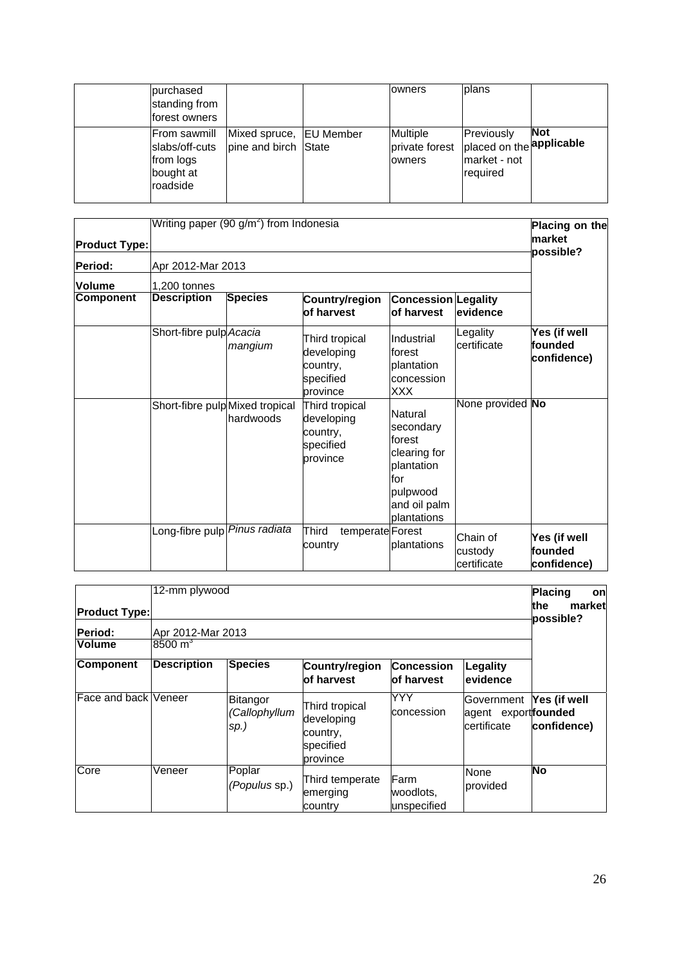| purchased<br>standing from<br>forest owners                          |                                                 | owners                                                               | Iplans                                 |            |
|----------------------------------------------------------------------|-------------------------------------------------|----------------------------------------------------------------------|----------------------------------------|------------|
| From sawmill<br>slabs/off-cuts<br>from logs<br>bought at<br>roadside | Mixed spruce, EU Member<br>pine and birch State | Multiple<br>private forest placed on the <b>applicable</b><br>owners | Previously<br>market - not<br>required | <b>Not</b> |

| <b>Product Type:</b> | Writing paper (90 $g/m2$ ) from Indonesia |                   | Placing on the<br>market<br>possible?                             |                                                                                                                |                                    |                                        |  |  |
|----------------------|-------------------------------------------|-------------------|-------------------------------------------------------------------|----------------------------------------------------------------------------------------------------------------|------------------------------------|----------------------------------------|--|--|
| <b>Period:</b>       |                                           | Apr 2012-Mar 2013 |                                                                   |                                                                                                                |                                    |                                        |  |  |
| <b>Volume</b>        | 1,200 tonnes                              |                   |                                                                   |                                                                                                                |                                    |                                        |  |  |
| <b>Component</b>     | <b>Description</b>                        | <b>Species</b>    | Country/region<br>of harvest                                      | <b>Concession Legality</b><br>of harvest                                                                       | evidence                           |                                        |  |  |
|                      | Short-fibre pulp Acacia                   | mangium           | Third tropical<br>developing<br>country,<br>specified<br>province | Industrial<br>lforest<br>plantation<br>concession<br><b>XXX</b>                                                | Legality<br>certificate            | Yes (if well<br>founded<br>confidence) |  |  |
|                      | Short-fibre pulp Mixed tropical           | hardwoods         | Third tropical<br>developing<br>country,<br>specified<br>province | Natural<br>secondary<br>forest<br>clearing for<br>plantation<br>for<br>pulpwood<br>and oil palm<br>plantations | None provided No                   |                                        |  |  |
|                      | Long-fibre pulp Pinus radiata             |                   | Third<br>temperate Forest<br>country                              | plantations                                                                                                    | Chain of<br>custody<br>certificate | Yes (if well<br>founded<br>confidence) |  |  |

| <b>Product Type:</b><br><b>Period:</b><br><b>Volume</b> | 12-mm plywood<br>Apr 2012-Mar 2013<br>$8500 \text{ m}^3$                                                                  |                         |                                        |                                          |                                                               |             |  |
|---------------------------------------------------------|---------------------------------------------------------------------------------------------------------------------------|-------------------------|----------------------------------------|------------------------------------------|---------------------------------------------------------------|-------------|--|
| <b>Component</b>                                        | <b>Description</b>                                                                                                        | Species                 | Country/region<br>of harvest           | <b>Concession</b><br>lof harvest         | Legality<br>levidence                                         |             |  |
|                                                         | Face and back Veneer<br><b>Bitangor</b><br>Third tropical<br>(Callophyllum<br>developing<br>sp.)<br>country,<br>specified |                         | province                               | YYY<br>concession                        | Government Yes (if well<br>agent exportfounded<br>certificate | confidence) |  |
| Core                                                    | Veneer                                                                                                                    | Poplar<br>(Populus sp.) | Third temperate<br>emerging<br>country | <b>IFarm</b><br>woodlots.<br>unspecified | None<br>provided                                              | No          |  |